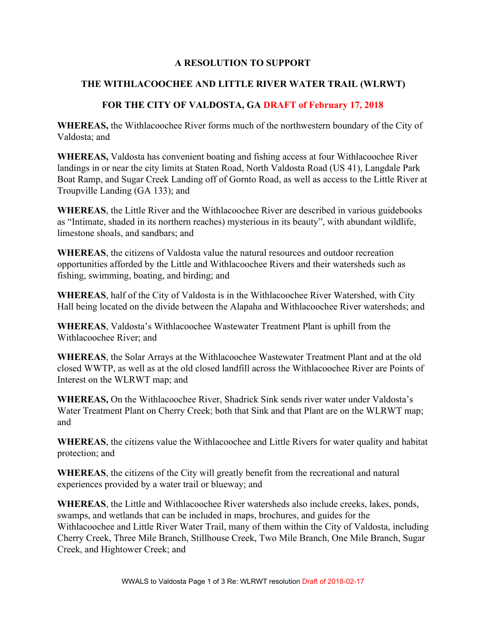## **A RESOLUTION TO SUPPORT**

## **THE WITHLACOOCHEE AND LITTLE RIVER WATER TRAIL (WLRWT)**

## **FOR THE CITY OF VALDOSTA, GA DRAFT of February 17, 2018**

**WHEREAS,** the Withlacoochee River forms much of the northwestern boundary of the City of Valdosta; and

**WHEREAS,** Valdosta has convenient boating and fishing access at four Withlacoochee River landings in or near the city limits at Staten Road, North Valdosta Road (US 41), Langdale Park Boat Ramp, and Sugar Creek Landing off of Gornto Road, as well as access to the Little River at Troupville Landing (GA 133); and

**WHEREAS**, the Little River and the Withlacoochee River are described in various guidebooks as "Intimate, shaded in its northern reaches) mysterious in its beauty", with abundant wildlife, limestone shoals, and sandbars; and

**WHEREAS**, the citizens of Valdosta value the natural resources and outdoor recreation opportunities afforded by the Little and Withlacoochee Rivers and their watersheds such as fishing, swimming, boating, and birding; and

**WHEREAS**, half of the City of Valdosta is in the Withlacoochee River Watershed, with City Hall being located on the divide between the Alapaha and Withlacoochee River watersheds; and

**WHEREAS**, Valdosta's Withlacoochee Wastewater Treatment Plant is uphill from the Withlacoochee River; and

**WHEREAS**, the Solar Arrays at the Withlacoochee Wastewater Treatment Plant and at the old closed WWTP, as well as at the old closed landfill across the Withlacoochee River are Points of Interest on the WLRWT map; and

**WHEREAS,** On the Withlacoochee River, Shadrick Sink sends river water under Valdosta's Water Treatment Plant on Cherry Creek; both that Sink and that Plant are on the WLRWT map; and

**WHEREAS**, the citizens value the Withlacoochee and Little Rivers for water quality and habitat protection; and

**WHEREAS**, the citizens of the City will greatly benefit from the recreational and natural experiences provided by a water trail or blueway; and

**WHEREAS**, the Little and Withlacoochee River watersheds also include creeks, lakes, ponds, swamps, and wetlands that can be included in maps, brochures, and guides for the Withlacoochee and Little River Water Trail, many of them within the City of Valdosta, including Cherry Creek, Three Mile Branch, Stillhouse Creek, Two Mile Branch, One Mile Branch, Sugar Creek, and Hightower Creek; and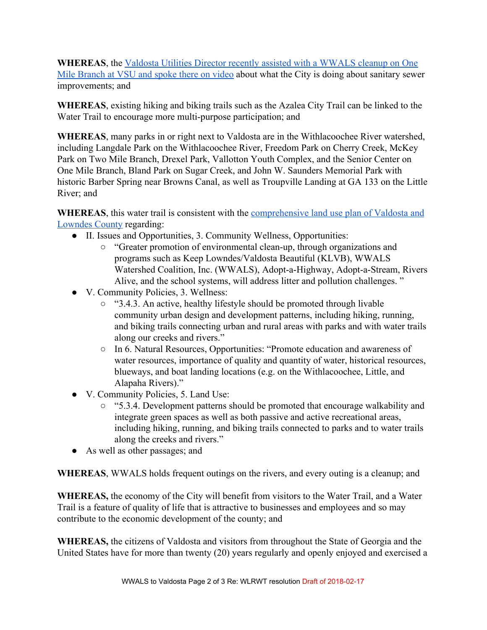**WHEREAS**, the [Valdosta Utilities Director recently assisted with a WWALS cleanup on One](http://www.wwals.net/blog/2017/11/12/one-mile-branch-cleanup-2017-11-11/) [Mile Branch at VSU and spoke there on video](http://www.wwals.net/blog/2017/11/12/one-mile-branch-cleanup-2017-11-11/) about what the City is doing about sanitary sewer improvements; and

**WHEREAS**, existing hiking and biking trails such as the Azalea City Trail can be linked to the Water Trail to encourage more multi-purpose participation; and

**WHEREAS**, many parks in or right next to Valdosta are in the Withlacoochee River watershed, including Langdale Park on the Withlacoochee River, Freedom Park on Cherry Creek, McKey Park on Two Mile Branch, Drexel Park, Vallotton Youth Complex, and the Senior Center on One Mile Branch, Bland Park on Sugar Creek, and John W. Saunders Memorial Park with historic Barber Spring near Browns Canal, as well as Troupville Landing at GA 133 on the Little River; and

WHEREAS, this water trail is consistent with the **comprehensive land** use plan of Valdosta and [Lowndes County](http://nebula.wsimg.com/f9fd8215bcb9eda63433832e522135fb?AccessKeyId=7599C68BC55095BE1D8F&disposition=0&alloworigin=1) regarding:

- II. Issues and Opportunities, 3. Community Wellness, Opportunities:
	- "Greater promotion of environmental clean-up, through organizations and programs such as Keep Lowndes/Valdosta Beautiful (KLVB), WWALS Watershed Coalition, Inc. (WWALS), Adopt-a-Highway, Adopt-a-Stream, Rivers Alive, and the school systems, will address litter and pollution challenges. "
- V. Community Policies, 3. Wellness:
	- "3.4.3. An active, healthy lifestyle should be promoted through livable community urban design and development patterns, including hiking, running, and biking trails connecting urban and rural areas with parks and with water trails along our creeks and rivers."
	- In 6. Natural Resources, Opportunities: "Promote education and awareness of water resources, importance of quality and quantity of water, historical resources, blueways, and boat landing locations (e.g. on the Withlacoochee, Little, and Alapaha Rivers)."
- V. Community Policies, 5. Land Use:
	- "5.3.4. Development patterns should be promoted that encourage walkability and integrate green spaces as well as both passive and active recreational areas, including hiking, running, and biking trails connected to parks and to water trails along the creeks and rivers."
- As well as other passages; and

**WHEREAS**, WWALS holds frequent outings on the rivers, and every outing is a cleanup; and

**WHEREAS,** the economy of the City will benefit from visitors to the Water Trail, and a Water Trail is a feature of quality of life that is attractive to businesses and employees and so may contribute to the economic development of the county; and

**WHEREAS,** the citizens of Valdosta and visitors from throughout the State of Georgia and the United States have for more than twenty (20) years regularly and openly enjoyed and exercised a